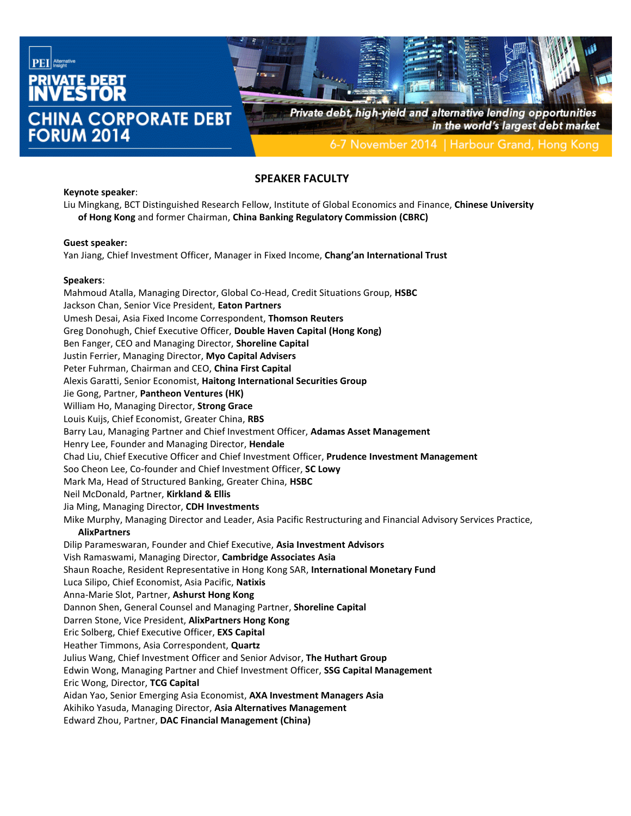

## **SPEAKER FACULTY**

#### **Keynote speaker**:

Liu Mingkang, BCT Distinguished Research Fellow, Institute of Global Economics and Finance, **Chinese University of Hong Kong** and former Chairman, **China Banking Regulatory Commission (CBRC)**

#### **Guest speaker:**

Yan Jiang, Chief Investment Officer, Manager in Fixed Income, **Chang'an International Trust**

#### **Speakers**:

Mahmoud Atalla, Managing Director, Global Co-Head, Credit Situations Group, **HSBC** Jackson Chan, Senior Vice President, **Eaton Partners** Umesh Desai, Asia Fixed Income Correspondent, **Thomson Reuters** Greg Donohugh, Chief Executive Officer, **Double Haven Capital (Hong Kong)** Ben Fanger, CEO and Managing Director, **Shoreline Capital** Justin Ferrier, Managing Director, **Myo Capital Advisers** Peter Fuhrman, Chairman and CEO, **China First Capital** Alexis Garatti, Senior Economist, **Haitong International Securities Group** Jie Gong, Partner, **Pantheon Ventures (HK)** William Ho, Managing Director, **Strong Grace** Louis Kuijs, Chief Economist, Greater China, **RBS** Barry Lau, Managing Partner and Chief Investment Officer, **Adamas Asset Management** Henry Lee, Founder and Managing Director, **Hendale** Chad Liu, Chief Executive Officer and Chief Investment Officer, **Prudence Investment Management** Soo Cheon Lee, Co-founder and Chief Investment Officer, **SC Lowy** Mark Ma, Head of Structured Banking, Greater China, **HSBC** Neil McDonald, Partner, **Kirkland & Ellis** Jia Ming, Managing Director, **CDH Investments** Mike Murphy, Managing Director and Leader, Asia Pacific Restructuring and Financial Advisory Services Practice, **AlixPartners** Dilip Parameswaran, Founder and Chief Executive, **Asia Investment Advisors** Vish Ramaswami, Managing Director, **Cambridge Associates Asia** Shaun Roache, Resident Representative in Hong Kong SAR, **International Monetary Fund** Luca Silipo, Chief Economist, Asia Pacific, **Natixis** Anna-Marie Slot, Partner, **Ashurst Hong Kong** Dannon Shen, General Counsel and Managing Partner, **Shoreline Capital** Darren Stone, Vice President, **AlixPartners Hong Kong** Eric Solberg, Chief Executive Officer, **EXS Capital** Heather Timmons, Asia Correspondent, **Quartz** Julius Wang, Chief Investment Officer and Senior Advisor, **The Huthart Group** Edwin Wong, Managing Partner and Chief Investment Officer, **SSG Capital Management** Eric Wong, Director, **TCG Capital** Aidan Yao, Senior Emerging Asia Economist, **AXA Investment Managers Asia** Akihiko Yasuda, Managing Director, **Asia Alternatives Management** Edward Zhou, Partner, **DAC Financial Management (China)**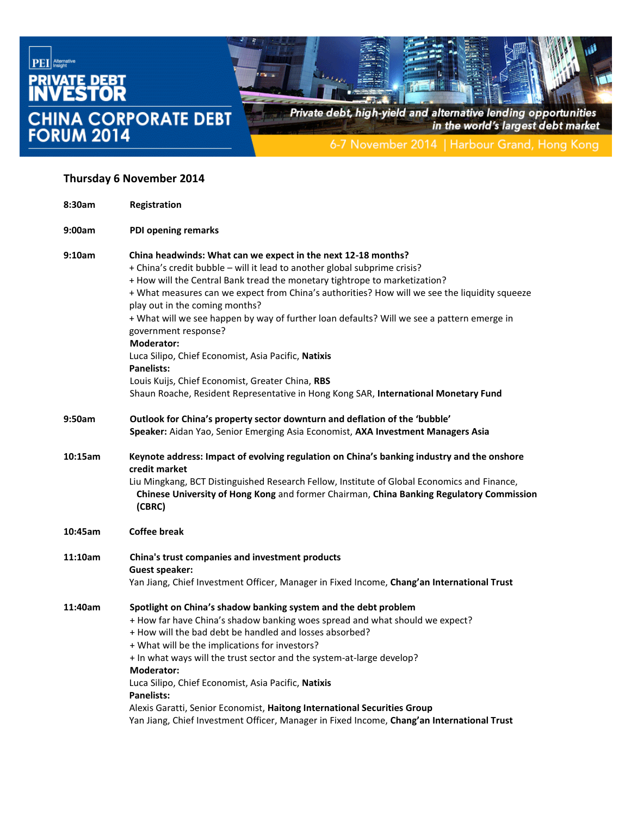

## **Thursday 6 November 2014**

| 8:30am  | Registration                                                                                                                                                                                                                                                                                                                                                                                                                                                                                                                                                                                                                                                                                                                  |
|---------|-------------------------------------------------------------------------------------------------------------------------------------------------------------------------------------------------------------------------------------------------------------------------------------------------------------------------------------------------------------------------------------------------------------------------------------------------------------------------------------------------------------------------------------------------------------------------------------------------------------------------------------------------------------------------------------------------------------------------------|
| 9:00am  | <b>PDI opening remarks</b>                                                                                                                                                                                                                                                                                                                                                                                                                                                                                                                                                                                                                                                                                                    |
| 9:10am  | China headwinds: What can we expect in the next 12-18 months?<br>+ China's credit bubble - will it lead to another global subprime crisis?<br>+ How will the Central Bank tread the monetary tightrope to marketization?<br>+ What measures can we expect from China's authorities? How will we see the liquidity squeeze<br>play out in the coming months?<br>+ What will we see happen by way of further loan defaults? Will we see a pattern emerge in<br>government response?<br><b>Moderator:</b><br>Luca Silipo, Chief Economist, Asia Pacific, Natixis<br><b>Panelists:</b><br>Louis Kuijs, Chief Economist, Greater China, RBS<br>Shaun Roache, Resident Representative in Hong Kong SAR, International Monetary Fund |
| 9:50am  | Outlook for China's property sector downturn and deflation of the 'bubble'<br>Speaker: Aidan Yao, Senior Emerging Asia Economist, AXA Investment Managers Asia                                                                                                                                                                                                                                                                                                                                                                                                                                                                                                                                                                |
| 10:15am | Keynote address: Impact of evolving regulation on China's banking industry and the onshore<br>credit market<br>Liu Mingkang, BCT Distinguished Research Fellow, Institute of Global Economics and Finance,<br>Chinese University of Hong Kong and former Chairman, China Banking Regulatory Commission<br>(CBRC)                                                                                                                                                                                                                                                                                                                                                                                                              |
| 10:45am | <b>Coffee break</b>                                                                                                                                                                                                                                                                                                                                                                                                                                                                                                                                                                                                                                                                                                           |
| 11:10am | China's trust companies and investment products<br>Guest speaker:<br>Yan Jiang, Chief Investment Officer, Manager in Fixed Income, Chang'an International Trust                                                                                                                                                                                                                                                                                                                                                                                                                                                                                                                                                               |
| 11:40am | Spotlight on China's shadow banking system and the debt problem<br>+ How far have China's shadow banking woes spread and what should we expect?<br>+ How will the bad debt be handled and losses absorbed?<br>+ What will be the implications for investors?<br>+ In what ways will the trust sector and the system-at-large develop?<br><b>Moderator:</b><br>Luca Silipo, Chief Economist, Asia Pacific, Natixis<br><b>Panelists:</b><br>Alexis Garatti, Senior Economist, Haitong International Securities Group<br>Yan Jiang, Chief Investment Officer, Manager in Fixed Income, Chang'an International Trust                                                                                                              |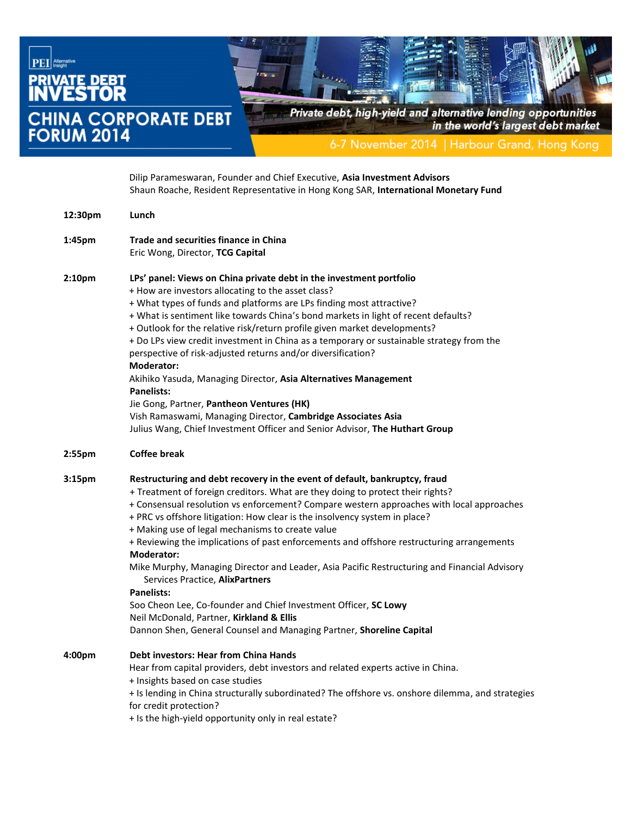

|         | Dilip Parameswaran, Founder and Chief Executive, Asia Investment Advisors<br>Shaun Roache, Resident Representative in Hong Kong SAR, International Monetary Fund                                                                                                                                                                                                                                                                                                                                                                                                                                                                                                                                                                                                                                                                                     |
|---------|------------------------------------------------------------------------------------------------------------------------------------------------------------------------------------------------------------------------------------------------------------------------------------------------------------------------------------------------------------------------------------------------------------------------------------------------------------------------------------------------------------------------------------------------------------------------------------------------------------------------------------------------------------------------------------------------------------------------------------------------------------------------------------------------------------------------------------------------------|
| 12:30pm | Lunch                                                                                                                                                                                                                                                                                                                                                                                                                                                                                                                                                                                                                                                                                                                                                                                                                                                |
| 1:45pm  | <b>Trade and securities finance in China</b><br>Eric Wong, Director, TCG Capital                                                                                                                                                                                                                                                                                                                                                                                                                                                                                                                                                                                                                                                                                                                                                                     |
| 2:10pm  | LPs' panel: Views on China private debt in the investment portfolio<br>+ How are investors allocating to the asset class?<br>+ What types of funds and platforms are LPs finding most attractive?<br>+ What is sentiment like towards China's bond markets in light of recent defaults?<br>+ Outlook for the relative risk/return profile given market developments?<br>+ Do LPs view credit investment in China as a temporary or sustainable strategy from the<br>perspective of risk-adjusted returns and/or diversification?<br>Moderator:<br>Akihiko Yasuda, Managing Director, Asia Alternatives Management<br><b>Panelists:</b><br>Jie Gong, Partner, Pantheon Ventures (HK)<br>Vish Ramaswami, Managing Director, Cambridge Associates Asia<br>Julius Wang, Chief Investment Officer and Senior Advisor, The Huthart Group                   |
| 2:55pm  | <b>Coffee break</b>                                                                                                                                                                                                                                                                                                                                                                                                                                                                                                                                                                                                                                                                                                                                                                                                                                  |
| 3:15pm  | Restructuring and debt recovery in the event of default, bankruptcy, fraud<br>+ Treatment of foreign creditors. What are they doing to protect their rights?<br>+ Consensual resolution vs enforcement? Compare western approaches with local approaches<br>+ PRC vs offshore litigation: How clear is the insolvency system in place?<br>+ Making use of legal mechanisms to create value<br>+ Reviewing the implications of past enforcements and offshore restructuring arrangements<br>Moderator:<br>Mike Murphy, Managing Director and Leader, Asia Pacific Restructuring and Financial Advisory<br>Services Practice, AlixPartners<br><b>Panelists:</b><br>Soo Cheon Lee, Co-founder and Chief Investment Officer, SC Lowy<br>Neil McDonald, Partner, Kirkland & Ellis<br>Dannon Shen, General Counsel and Managing Partner, Shoreline Capital |
| 4:00pm  | <b>Debt investors: Hear from China Hands</b><br>Hear from capital providers, debt investors and related experts active in China.<br>+ Insights based on case studies<br>+ Is lending in China structurally subordinated? The offshore vs. onshore dilemma, and strategies<br>for credit protection?                                                                                                                                                                                                                                                                                                                                                                                                                                                                                                                                                  |

+ Is the high-yield opportunity only in real estate?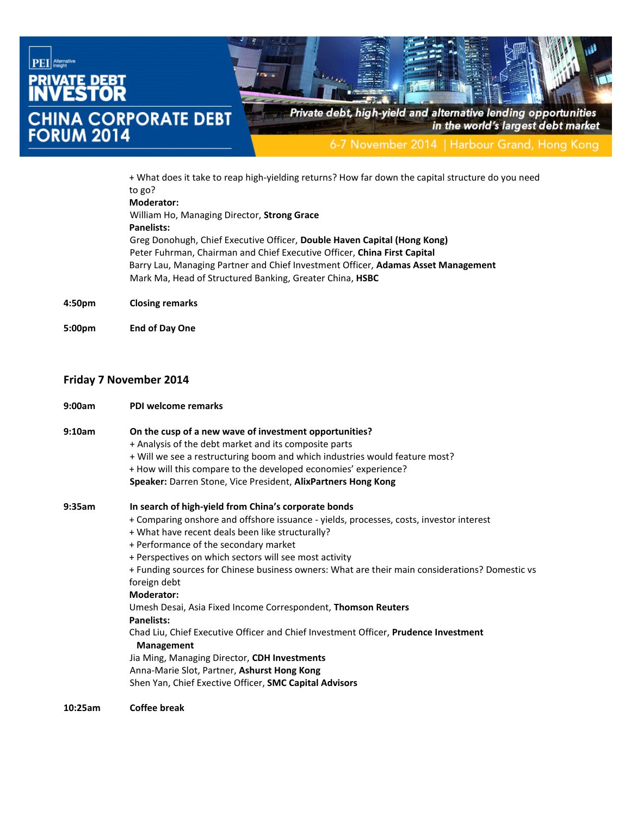

+ What does it take to reap high-yielding returns? How far down the capital structure do you need to go? **Moderator:** William Ho, Managing Director, **Strong Grace**

# **Panelists:**

Greg Donohugh, Chief Executive Officer, **Double Haven Capital (Hong Kong)** Peter Fuhrman, Chairman and Chief Executive Officer, **China First Capital** Barry Lau, Managing Partner and Chief Investment Officer, **Adamas Asset Management** Mark Ma, Head of Structured Banking, Greater China, **HSBC**

**4:50pm Closing remarks**

**5:00pm End of Day One**

### **Friday 7 November 2014**

| 9:00am | PDI welcome remarks                                                                                                                                                                                                                                                                                                                                                                                                                                                                                                                                                                                                                                                                                                                                                                               |
|--------|---------------------------------------------------------------------------------------------------------------------------------------------------------------------------------------------------------------------------------------------------------------------------------------------------------------------------------------------------------------------------------------------------------------------------------------------------------------------------------------------------------------------------------------------------------------------------------------------------------------------------------------------------------------------------------------------------------------------------------------------------------------------------------------------------|
| 9:10am | On the cusp of a new wave of investment opportunities?<br>+ Analysis of the debt market and its composite parts<br>+ Will we see a restructuring boom and which industries would feature most?<br>+ How will this compare to the developed economies' experience?<br>Speaker: Darren Stone, Vice President, AlixPartners Hong Kong                                                                                                                                                                                                                                                                                                                                                                                                                                                                |
| 9:35am | In search of high-yield from China's corporate bonds<br>+ Comparing onshore and offshore issuance - yields, processes, costs, investor interest<br>+ What have recent deals been like structurally?<br>+ Performance of the secondary market<br>+ Perspectives on which sectors will see most activity<br>+ Funding sources for Chinese business owners: What are their main considerations? Domestic vs<br>foreign debt<br><b>Moderator:</b><br>Umesh Desai, Asia Fixed Income Correspondent, Thomson Reuters<br>Panelists:<br>Chad Liu, Chief Executive Officer and Chief Investment Officer, Prudence Investment<br><b>Management</b><br>Jia Ming, Managing Director, CDH Investments<br>Anna-Marie Slot, Partner, Ashurst Hong Kong<br>Shen Yan, Chief Exective Officer, SMC Capital Advisors |

**10:25am Coffee break**